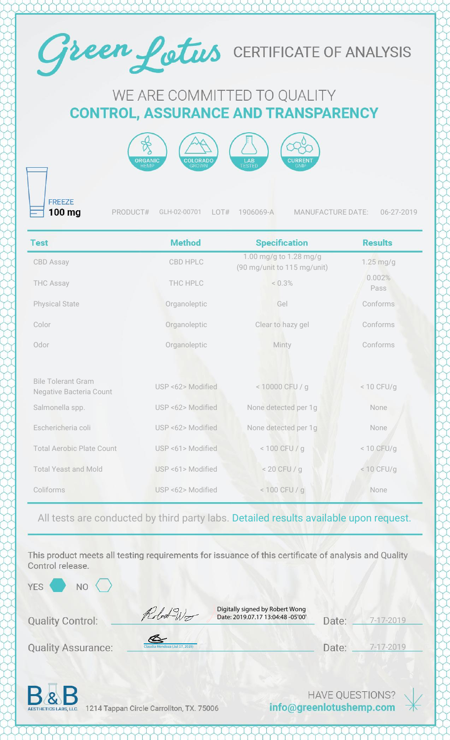

## WE ARE COMMITTED TO QUALITY **CONTROL, ASSURANCE AND TRANSPARENCY**



**FREEZE** 100 mg

PRODUCT# GLH-02-00701 LOT# 1906069-A MANUFACTURE DATE: 06-27-2019

| <b>Test</b>                                                 | <b>Method</b>     | <b>Specification</b>                                  | <b>Results</b> |
|-------------------------------------------------------------|-------------------|-------------------------------------------------------|----------------|
| <b>CBD Assay</b>                                            | CBD HPLC          | 1.00 mg/g to 1.28 mg/g<br>(90 mg/unit to 115 mg/unit) | $1.25$ mg/g    |
| <b>THC Assay</b>                                            | THC HPLC          | < 0.3%                                                | 0.002%<br>Pass |
| <b>Physical State</b>                                       | Organoleptic      | Gel                                                   | Conforms       |
| Color                                                       | Organoleptic      | Clear to hazy gel                                     | Conforms       |
| Odor                                                        | Organoleptic      | Minty                                                 | Conforms       |
|                                                             |                   |                                                       |                |
| <b>Bile Tolerant Gram</b><br><b>Negative Bacteria Count</b> | USP <62> Modified | < 10000 CFU / g                                       | < 10 CFU/q     |
| Salmonella spp.                                             | USP <62> Modified | None detected per 1g                                  | None           |
| Eschericheria coli                                          | USP <62> Modified | None detected per 1g                                  | None           |
| <b>Total Aerobic Plate Count</b>                            | USP <61> Modified | $< 100$ CFU / g                                       | $< 10$ CFU/g   |
| <b>Total Yeast and Mold</b>                                 | USP <61> Modified | $< 20$ CFU / g                                        | $< 10$ CFU/g   |
| Coliforms                                                   | USP <62> Modified | $< 100$ CFU / g                                       | None           |

All tests are conducted by third party labs. Detailed results available upon request.

This product meets all testing requirements for issuance of this certificate of analysis and Quality Control release.

YES<sup></sup>

**NO** 

Robert Wo

Digitally signed by Robert Wong Date: 2019.07.17 13:04:48 -05'00'

| Jate: | $7 - 17 - 2019$ |
|-------|-----------------|
|       |                 |

**Quality Assurance:** 

**Quality Control:** 

[Claudia Mendoza \(Jul 17, 2019\)](https://na2.documents.adobe.com/verifier?tx=CBJCHBCAABAA1dsXJatH6ETgW1AexJcSXcUAF4PhoX5P)

| Date: | $-$ /-/ |
|-------|---------|
|       |         |
|       |         |

Date: \_\_ 7-17-2019



1214 Tappan Circle Carrollton, TX. 75006

**HAVE QUESTIONS?** info@greenlotushemp.com